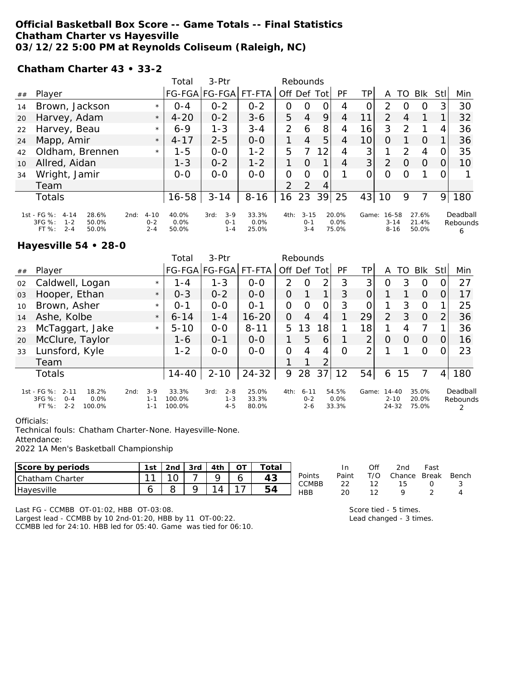**Official Basketball Box Score -- Game Totals -- Final Statistics Chatham Charter vs Hayesville 03/12/22 5:00 PM at Reynolds Coliseum (Raleigh, NC)**

**Chatham Charter 43 • 33-2**

|    |                                                           |                    | Total         | 3-Ptr                |                  |                | Rebounds           |    |                  |                |                      |               |                |             |               |
|----|-----------------------------------------------------------|--------------------|---------------|----------------------|------------------|----------------|--------------------|----|------------------|----------------|----------------------|---------------|----------------|-------------|---------------|
| ## | Player                                                    |                    |               | FG-FGA FG-FGA FT-FTA |                  | Off Def Tot    |                    |    | PF               | ТP             | A                    | TO            | Blk            | <b>Stll</b> | Min           |
| 14 | Brown, Jackson                                            | $\star$            | $O - 4$       | $0 - 2$              | $0 - 2$          | 0              | O                  | Ο  | 4                |                | 2                    |               | O              |             | 30            |
| 20 | Harvey, Adam                                              | $4 - 20$           | $0 - 2$       | $3 - 6$              | 5                | $\overline{4}$ | 9                  | 4  | 11               | $\overline{2}$ | 4                    |               |                | 32          |               |
| 22 | Harvey, Beau                                              | $\star$            | $6 - 9$       | $1 - 3$              | $3 - 4$          | $\overline{2}$ | 6                  | 8  | 4                | 16             | 3                    | $\mathcal{P}$ |                | 4           | 36            |
| 24 | Mapp, Amir                                                | $4 - 17$           | $2 - 5$       | $0 - 0$              |                  | $\overline{4}$ | 5                  | 4  | 10 <sub>1</sub>  | $\Omega$       |                      | $\Omega$      |                | 36          |               |
| 42 | Oldham, Brennen                                           | $\star$            | 1-5           | $0 - 0$              | $1 - 2$          | 5              |                    | 12 | 4                | 3 <sup>1</sup> |                      | $\mathcal{D}$ | 4              |             | 35            |
| 10 | Allred, Aidan                                             |                    | $1 - 3$       | $0 - 2$              | $1 - 2$          |                | $\Omega$           |    | 4                | 3              | 2                    | $\Omega$      | $\Omega$       |             | 10            |
| 34 | Wright, Jamir                                             |                    | $O-O$         | $0 - 0$              | $0 - 0$          | $\Omega$       | 0                  | Ω  |                  | 0              | $\Omega$             |               |                |             |               |
|    | Team                                                      |                    |               |                      |                  | $\overline{2}$ | 2                  | 4  |                  |                |                      |               |                |             |               |
|    | Totals                                                    | $16 - 58$          | $3 - 14$      | $8 - 16$             | 16               | 23             | 39                 | 25 | 43               | 10             | 9                    |               | 9              | 180         |               |
|    | 1st - FG %: 4-14<br>28.6%                                 | $4 - 10$<br>2nd:   | $40.0\%$      | $3 - 9$<br>3rd:      | 33.3%            | 4th:           | $3 - 15$           |    | 20.0%            | Game:          | 16-58                |               | 27.6%          |             | Deadball      |
|    | 3FG %:<br>$1 - 2$<br>50.0%<br>$2 - 4$<br>$FT%$ :<br>50.0% | $0 - 2$<br>$2 - 4$ | 0.0%<br>50.0% | $0 - 1$<br>$1 - 4$   | $0.0\%$<br>25.0% |                | $0 - 1$<br>$3 - 4$ |    | $0.0\%$<br>75.0% |                | $3 - 14$<br>$8 - 16$ |               | 21.4%<br>50.0% |             | Rebounds<br>6 |

**Hayesville 54 • 28-0**

|    |                                                                                        |                                     | Total                     | $3-Ptr$                               |                         |                | Rebounds                       |                |                        |       |                                |          |                         |                |                      |
|----|----------------------------------------------------------------------------------------|-------------------------------------|---------------------------|---------------------------------------|-------------------------|----------------|--------------------------------|----------------|------------------------|-------|--------------------------------|----------|-------------------------|----------------|----------------------|
| ## | Player                                                                                 |                                     |                           | FG-FGA FG-FGA FT-FTA                  |                         |                | Off Def Tot                    |                | PF                     | ΤP    | Α                              | TO       | <b>BIK</b>              | Stll           | Min                  |
| 02 | Caldwell, Logan                                                                        | $\star$                             | $1 - 4$                   | $1 - 3$                               | $O - O$                 | 2              | O                              | 2              | 3                      | 3     | O                              | 3        | O                       |                | 27                   |
| 03 | Hooper, Ethan                                                                          | $\star$                             | $0 - 3$                   | $0 - 2$                               | $O - O$                 | 0              |                                | 1              | 3                      | 0     |                                |          | $\Omega$                | 0              | 17                   |
| 10 | Brown, Asher                                                                           | $\star$                             | $O - 1$                   | $0 - 0$                               | $O - 1$                 | 0              | $\Omega$                       | $\overline{O}$ | 3                      | O     |                                | 3        | $\Omega$                |                | 25                   |
| 14 | Ashe, Kolbe                                                                            | $\star$                             | $6 - 14$                  | $1 - 4$                               | $16 - 20$               | 0              | 4                              | 4              |                        | 29    | $\mathcal{P}$                  | 3        | $\Omega$                | 2              | 36                   |
| 23 | McTaggart, Jake                                                                        | $\star$                             | $5 - 10$                  | $0 - 0$                               | $8 - 11$                | 5              | 13                             | 18             |                        | 18    |                                | 4        | 7                       |                | 36                   |
| 20 | McClure, Taylor                                                                        |                                     | 1-6                       | $0 - 1$                               | $0-0$                   | $\mathbf 1$    | 5                              | 6              |                        | 2     | $\Omega$                       | $\Omega$ | $\Omega$                | 0              | 16                   |
| 33 | Lunsford, Kyle                                                                         |                                     | $1 - 2$                   | $0 - 0$                               | $O - O$                 | $\overline{O}$ | 4                              | 4              | $\Omega$               | 2     |                                |          | O                       | 0              | 23                   |
|    | Team                                                                                   |                                     |                           |                                       |                         |                |                                | 2              |                        |       |                                |          |                         |                |                      |
|    | Totals                                                                                 |                                     | $14 - 40$                 | $2 - 10$                              | $24 - 32$               | 9              | 28                             | 37             | 12                     | 54    | 6                              | 15       | 7                       | $\overline{4}$ | 180                  |
|    | 1st - FG %: 2-11<br>18.2%<br>$3FG \%$<br>$O - 4$<br>0.0%<br>$2 - 2$<br>FT %:<br>100.0% | $3-9$<br>2nd:<br>$1 - 1$<br>$1 - 1$ | 33.3%<br>100.0%<br>100.0% | $2 - 8$<br>3rd:<br>$1 - 3$<br>$4 - 5$ | 25.0%<br>33.3%<br>80.0% | 4th:           | $6 - 11$<br>$0 - 2$<br>$2 - 6$ |                | 54.5%<br>0.0%<br>33.3% | Game: | 14-40<br>$2 - 10$<br>$24 - 32$ |          | 35.0%<br>20.0%<br>75.0% |                | Deadball<br>Rebounds |

Officials:

Technical fouls: Chatham Charter-None. Hayesville-None.

Attendance:

2022 1A Men's Basketball Championship

| Score by periods          | 1st | 2nd | 3rd | 4th | $\overline{\frown}$ | $\tau$ otal |              | In              | Of  | 2nd    | Fast         |       |
|---------------------------|-----|-----|-----|-----|---------------------|-------------|--------------|-----------------|-----|--------|--------------|-------|
| <b>Chatham</b><br>Charter | - - |     | –   |     |                     | 43          | Points       | Paint<br>$\sim$ | T/O | Chance | <b>Break</b> | Bench |
| <b>Havesville</b>         |     |     |     | 4   |                     | -<br>54     | CCMBB<br>HBB | ∠∠<br>20        | -   | ں ו    |              |       |

Last FG - CCMBB OT-01:02, HBB OT-03:08. Largest lead - CCMBB by 10 2nd-01:20, HBB by 11 OT-00:22. CCMBB led for 24:10. HBB led for 05:40. Game was tied for 06:10. Score tied - 5 times. Lead changed - 3 times.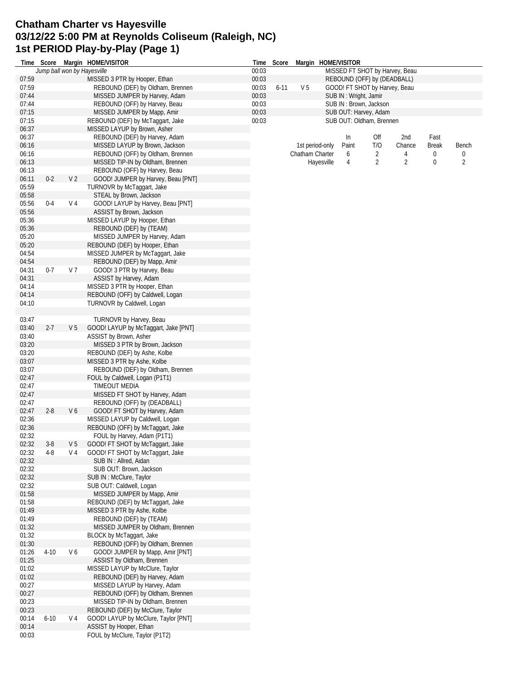#### **Chatham Charter vs Hayesville 03/12/22 5:00 PM at Reynolds Coliseum (Raleigh, NC) 1st PERIOD Play-by-Play (Page 1)**

|                |          |                | Time Score Margin HOME/VISITOR                                   |       | Time Score |                 |                 | Margin HOME/VISITOR   |                               |                                |              |             |
|----------------|----------|----------------|------------------------------------------------------------------|-------|------------|-----------------|-----------------|-----------------------|-------------------------------|--------------------------------|--------------|-------------|
|                |          |                | Jump ball won by Hayesville                                      | 00:03 |            |                 |                 |                       |                               | MISSED FT SHOT by Harvey, Beau |              |             |
| 07:59          |          |                | MISSED 3 PTR by Hooper, Ethan                                    | 00:03 |            |                 |                 |                       | REBOUND (OFF) by (DEADBALL)   |                                |              |             |
| 07:59          |          |                | REBOUND (DEF) by Oldham, Brennen                                 | 00:03 | $6 - 11$   | V <sub>5</sub>  |                 |                       | GOOD! FT SHOT by Harvey, Beau |                                |              |             |
| 07:44          |          |                | MISSED JUMPER by Harvey, Adam                                    | 00:03 |            |                 |                 | SUB IN: Wright, Jamir |                               |                                |              |             |
| 07:44          |          |                | REBOUND (OFF) by Harvey, Beau                                    | 00:03 |            |                 |                 |                       | SUB IN: Brown, Jackson        |                                |              |             |
| 07:15          |          |                | MISSED JUMPER by Mapp, Amir                                      | 00:03 |            |                 |                 |                       | SUB OUT: Harvey, Adam         |                                |              |             |
| 07:15          |          |                | REBOUND (DEF) by McTaggart, Jake                                 | 00:03 |            |                 |                 |                       | SUB OUT: Oldham, Brennen      |                                |              |             |
| 06:37          |          |                | MISSED LAYUP by Brown, Asher                                     |       |            |                 |                 |                       |                               |                                |              |             |
| 06:37          |          |                | REBOUND (DEF) by Harvey, Adam                                    |       |            |                 |                 | In                    | Off                           | 2nd                            | Fast         |             |
| 06:16          |          |                | MISSED LAYUP by Brown, Jackson                                   |       |            |                 | 1st period-only | Paint                 | T/O                           | Chance                         | <b>Break</b> | Bench       |
| 06:16          |          |                | REBOUND (OFF) by Oldham, Brennen                                 |       |            | Chatham Charter |                 | 6                     | 2                             | 4                              | 0            | $\mathbf 0$ |
| 06:13          |          |                | MISSED TIP-IN by Oldham, Brennen                                 |       |            |                 | Hayesville      | 4                     | 2                             | $\overline{2}$                 | 0            | 2           |
| 06:13          |          |                | REBOUND (OFF) by Harvey, Beau                                    |       |            |                 |                 |                       |                               |                                |              |             |
| 06:11          | $0 - 2$  | V <sub>2</sub> | GOOD! JUMPER by Harvey, Beau [PNT]                               |       |            |                 |                 |                       |                               |                                |              |             |
| 05:59          |          |                | TURNOVR by McTaggart, Jake                                       |       |            |                 |                 |                       |                               |                                |              |             |
| 05:58          |          |                | STEAL by Brown, Jackson                                          |       |            |                 |                 |                       |                               |                                |              |             |
| 05:56          | $0 - 4$  | V <sub>4</sub> | GOOD! LAYUP by Harvey, Beau [PNT]                                |       |            |                 |                 |                       |                               |                                |              |             |
| 05:56          |          |                | ASSIST by Brown, Jackson                                         |       |            |                 |                 |                       |                               |                                |              |             |
| 05:36          |          |                | MISSED LAYUP by Hooper, Ethan                                    |       |            |                 |                 |                       |                               |                                |              |             |
| 05:36          |          |                | REBOUND (DEF) by (TEAM)                                          |       |            |                 |                 |                       |                               |                                |              |             |
| 05:20          |          |                | MISSED JUMPER by Harvey, Adam                                    |       |            |                 |                 |                       |                               |                                |              |             |
| 05:20          |          |                | REBOUND (DEF) by Hooper, Ethan                                   |       |            |                 |                 |                       |                               |                                |              |             |
| 04:54          |          |                | MISSED JUMPER by McTaggart, Jake                                 |       |            |                 |                 |                       |                               |                                |              |             |
| 04:54          |          |                | REBOUND (DEF) by Mapp, Amir                                      |       |            |                 |                 |                       |                               |                                |              |             |
| 04:31          | $0 - 7$  | V <sub>7</sub> | GOOD! 3 PTR by Harvey, Beau                                      |       |            |                 |                 |                       |                               |                                |              |             |
| 04:31          |          |                | ASSIST by Harvey, Adam                                           |       |            |                 |                 |                       |                               |                                |              |             |
| 04:14          |          |                | MISSED 3 PTR by Hooper, Ethan                                    |       |            |                 |                 |                       |                               |                                |              |             |
| 04:14          |          |                | REBOUND (OFF) by Caldwell, Logan                                 |       |            |                 |                 |                       |                               |                                |              |             |
| 04:10          |          |                | TURNOVR by Caldwell, Logan                                       |       |            |                 |                 |                       |                               |                                |              |             |
|                |          |                |                                                                  |       |            |                 |                 |                       |                               |                                |              |             |
| 03:47          |          |                | TURNOVR by Harvey, Beau                                          |       |            |                 |                 |                       |                               |                                |              |             |
| 03:40          | $2 - 7$  | V <sub>5</sub> | GOOD! LAYUP by McTaggart, Jake [PNT]                             |       |            |                 |                 |                       |                               |                                |              |             |
| 03:40          |          |                | ASSIST by Brown, Asher                                           |       |            |                 |                 |                       |                               |                                |              |             |
| 03:20          |          |                | MISSED 3 PTR by Brown, Jackson                                   |       |            |                 |                 |                       |                               |                                |              |             |
| 03:20          |          |                | REBOUND (DEF) by Ashe, Kolbe                                     |       |            |                 |                 |                       |                               |                                |              |             |
| 03:07          |          |                | MISSED 3 PTR by Ashe, Kolbe                                      |       |            |                 |                 |                       |                               |                                |              |             |
| 03:07          |          |                | REBOUND (DEF) by Oldham, Brennen                                 |       |            |                 |                 |                       |                               |                                |              |             |
| 02:47          |          |                | FOUL by Caldwell, Logan (P1T1)                                   |       |            |                 |                 |                       |                               |                                |              |             |
| 02:47          |          |                | <b>TIMEOUT MEDIA</b>                                             |       |            |                 |                 |                       |                               |                                |              |             |
| 02:47          |          |                | MISSED FT SHOT by Harvey, Adam                                   |       |            |                 |                 |                       |                               |                                |              |             |
| 02:47          | $2 - 8$  |                | REBOUND (OFF) by (DEADBALL)                                      |       |            |                 |                 |                       |                               |                                |              |             |
| 02:47<br>02:36 |          | V6             | GOOD! FT SHOT by Harvey, Adam<br>MISSED LAYUP by Caldwell, Logan |       |            |                 |                 |                       |                               |                                |              |             |
| 02:36          |          |                | REBOUND (OFF) by McTaggart, Jake                                 |       |            |                 |                 |                       |                               |                                |              |             |
| 02:32          |          |                | FOUL by Harvey, Adam (P1T1)                                      |       |            |                 |                 |                       |                               |                                |              |             |
| 02:32          | $3 - 8$  | V <sub>5</sub> | GOOD! FT SHOT by McTaggart, Jake                                 |       |            |                 |                 |                       |                               |                                |              |             |
| 02:32          | 4-8      | V 4            | GOOD! FT SHOT by McTaggart, Jake                                 |       |            |                 |                 |                       |                               |                                |              |             |
| 02:32          |          |                | SUB IN: Allred, Aidan                                            |       |            |                 |                 |                       |                               |                                |              |             |
| 02:32          |          |                | SUB OUT: Brown, Jackson                                          |       |            |                 |                 |                       |                               |                                |              |             |
| 02:32          |          |                | SUB IN: McClure, Taylor                                          |       |            |                 |                 |                       |                               |                                |              |             |
| 02:32          |          |                | SUB OUT: Caldwell, Logan                                         |       |            |                 |                 |                       |                               |                                |              |             |
| 01:58          |          |                | MISSED JUMPER by Mapp, Amir                                      |       |            |                 |                 |                       |                               |                                |              |             |
| 01:58          |          |                | REBOUND (DEF) by McTaggart, Jake                                 |       |            |                 |                 |                       |                               |                                |              |             |
| 01:49          |          |                | MISSED 3 PTR by Ashe, Kolbe                                      |       |            |                 |                 |                       |                               |                                |              |             |
| 01:49          |          |                | REBOUND (DEF) by (TEAM)                                          |       |            |                 |                 |                       |                               |                                |              |             |
| 01:32          |          |                | MISSED JUMPER by Oldham, Brennen                                 |       |            |                 |                 |                       |                               |                                |              |             |
| 01:32          |          |                | BLOCK by McTaggart, Jake                                         |       |            |                 |                 |                       |                               |                                |              |             |
| 01:30          |          |                | REBOUND (OFF) by Oldham, Brennen                                 |       |            |                 |                 |                       |                               |                                |              |             |
| 01:26          | $4 - 10$ | V6             | GOOD! JUMPER by Mapp, Amir [PNT]                                 |       |            |                 |                 |                       |                               |                                |              |             |
| 01:25          |          |                | ASSIST by Oldham, Brennen                                        |       |            |                 |                 |                       |                               |                                |              |             |
| 01:02          |          |                | MISSED LAYUP by McClure, Taylor                                  |       |            |                 |                 |                       |                               |                                |              |             |
| 01:02          |          |                | REBOUND (DEF) by Harvey, Adam                                    |       |            |                 |                 |                       |                               |                                |              |             |
| 00:27          |          |                | MISSED LAYUP by Harvey, Adam                                     |       |            |                 |                 |                       |                               |                                |              |             |
| 00:27          |          |                | REBOUND (OFF) by Oldham, Brennen                                 |       |            |                 |                 |                       |                               |                                |              |             |
| 00:23          |          |                | MISSED TIP-IN by Oldham, Brennen                                 |       |            |                 |                 |                       |                               |                                |              |             |
| 00:23          |          |                | REBOUND (DEF) by McClure, Taylor                                 |       |            |                 |                 |                       |                               |                                |              |             |
| 00:14          | $6 - 10$ | V 4            | GOOD! LAYUP by McClure, Taylor [PNT]                             |       |            |                 |                 |                       |                               |                                |              |             |
| 00:14          |          |                | ASSIST by Hooper, Ethan                                          |       |            |                 |                 |                       |                               |                                |              |             |
| 00:03          |          |                | FOUL by McClure, Taylor (P1T2)                                   |       |            |                 |                 |                       |                               |                                |              |             |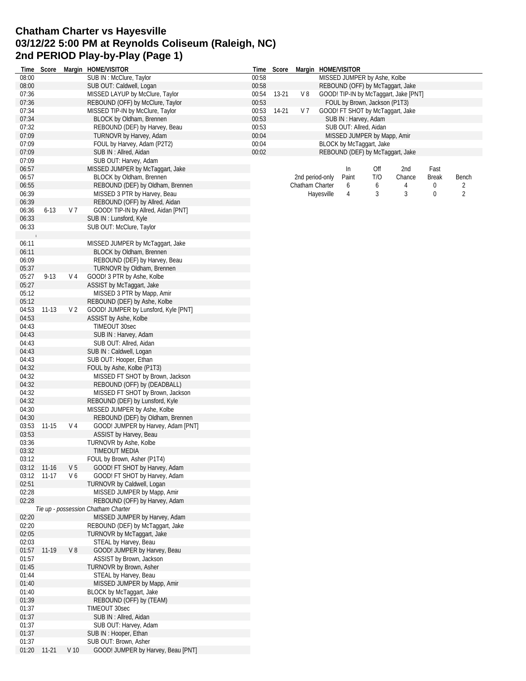### **Chatham Charter vs Hayesville 03/12/22 5:00 PM at Reynolds Coliseum (Raleigh, NC) 2nd PERIOD Play-by-Play (Page 1)**

| Time           | Score       |                 | Margin HOME/VISITOR                                   |       | Time Score |                 |            | Margin HOME/VISITOR           |     |                                       |              |                |
|----------------|-------------|-----------------|-------------------------------------------------------|-------|------------|-----------------|------------|-------------------------------|-----|---------------------------------------|--------------|----------------|
| 08:00          |             |                 | SUB IN: McClure, Taylor                               | 00:58 |            |                 |            | MISSED JUMPER by Ashe, Kolbe  |     |                                       |              |                |
| 08:00          |             |                 | SUB OUT: Caldwell, Logan                              | 00:58 |            |                 |            |                               |     | REBOUND (OFF) by McTaggart, Jake      |              |                |
| 07:36          |             |                 | MISSED LAYUP by McClure, Taylor                       | 00:54 | 13-21      | V8              |            |                               |     | GOOD! TIP-IN by McTaggart, Jake [PNT] |              |                |
| 07:36          |             |                 | REBOUND (OFF) by McClure, Taylor                      | 00:53 |            |                 |            | FOUL by Brown, Jackson (P1T3) |     |                                       |              |                |
| 07:34          |             |                 | MISSED TIP-IN by McClure, Taylor                      | 00:53 | 14-21      | V <sub>7</sub>  |            |                               |     | GOOD! FT SHOT by McTaggart, Jake      |              |                |
| 07:34          |             |                 | BLOCK by Oldham, Brennen                              | 00:53 |            |                 |            | SUB IN: Harvey, Adam          |     |                                       |              |                |
| 07:32          |             |                 | REBOUND (DEF) by Harvey, Beau                         | 00:53 |            |                 |            | SUB OUT: Allred, Aidan        |     |                                       |              |                |
| 07:09          |             |                 | TURNOVR by Harvey, Adam                               | 00:04 |            |                 |            | MISSED JUMPER by Mapp, Amir   |     |                                       |              |                |
| 07:09          |             |                 | FOUL by Harvey, Adam (P2T2)                           | 00:04 |            |                 |            | BLOCK by McTaggart, Jake      |     |                                       |              |                |
| 07:09          |             |                 | SUB IN: Allred, Aidan                                 | 00:02 |            |                 |            |                               |     | REBOUND (DEF) by McTaggart, Jake      |              |                |
| 07:09          |             |                 | SUB OUT: Harvey, Adam                                 |       |            |                 |            |                               |     |                                       |              |                |
| 06:57          |             |                 | MISSED JUMPER by McTaggart, Jake                      |       |            |                 |            | In                            | Off | 2nd                                   | Fast         |                |
| 06:57          |             |                 | BLOCK by Oldham, Brennen                              |       |            | 2nd period-only |            | Paint                         | T/O | Chance                                | <b>Break</b> | Bench          |
| 06:55          |             |                 | REBOUND (DEF) by Oldham, Brennen                      |       |            | Chatham Charter |            | 6                             | 6   | 4                                     | 0            | 2              |
| 06:39          |             |                 | MISSED 3 PTR by Harvey, Beau                          |       |            |                 | Hayesville | 4                             | 3   | 3                                     | 0            | $\overline{2}$ |
| 06:39          |             |                 | REBOUND (OFF) by Allred, Aidan                        |       |            |                 |            |                               |     |                                       |              |                |
| 06:36          | $6 - 13$    | V 7             | GOOD! TIP-IN by Allred, Aidan [PNT]                   |       |            |                 |            |                               |     |                                       |              |                |
| 06:33          |             |                 | SUB IN: Lunsford, Kyle                                |       |            |                 |            |                               |     |                                       |              |                |
| 06:33          |             |                 | SUB OUT: McClure, Taylor                              |       |            |                 |            |                               |     |                                       |              |                |
|                |             |                 |                                                       |       |            |                 |            |                               |     |                                       |              |                |
| 06:11          |             |                 | MISSED JUMPER by McTaggart, Jake                      |       |            |                 |            |                               |     |                                       |              |                |
| 06:11          |             |                 | BLOCK by Oldham, Brennen                              |       |            |                 |            |                               |     |                                       |              |                |
| 06:09          |             |                 | REBOUND (DEF) by Harvey, Beau                         |       |            |                 |            |                               |     |                                       |              |                |
| 05:37          |             |                 | TURNOVR by Oldham, Brennen                            |       |            |                 |            |                               |     |                                       |              |                |
| 05:27          | $9 - 13$    | V <sub>4</sub>  | GOOD! 3 PTR by Ashe, Kolbe                            |       |            |                 |            |                               |     |                                       |              |                |
| 05:27          |             |                 | ASSIST by McTaggart, Jake                             |       |            |                 |            |                               |     |                                       |              |                |
| 05:12          |             |                 | MISSED 3 PTR by Mapp, Amir                            |       |            |                 |            |                               |     |                                       |              |                |
| 05:12          |             |                 | REBOUND (DEF) by Ashe, Kolbe                          |       |            |                 |            |                               |     |                                       |              |                |
| 04:53          | $11-13$     | V 2             | GOOD! JUMPER by Lunsford, Kyle [PNT]                  |       |            |                 |            |                               |     |                                       |              |                |
| 04:53          |             |                 | ASSIST by Ashe, Kolbe                                 |       |            |                 |            |                               |     |                                       |              |                |
| 04:43          |             |                 | TIMEOUT 30sec                                         |       |            |                 |            |                               |     |                                       |              |                |
| 04:43          |             |                 | SUB IN: Harvey, Adam                                  |       |            |                 |            |                               |     |                                       |              |                |
| 04:43          |             |                 | SUB OUT: Allred, Aidan                                |       |            |                 |            |                               |     |                                       |              |                |
| 04:43          |             |                 | SUB IN: Caldwell, Logan                               |       |            |                 |            |                               |     |                                       |              |                |
| 04:43          |             |                 | SUB OUT: Hooper, Ethan                                |       |            |                 |            |                               |     |                                       |              |                |
| 04:32          |             |                 | FOUL by Ashe, Kolbe (P1T3)                            |       |            |                 |            |                               |     |                                       |              |                |
| 04:32          |             |                 | MISSED FT SHOT by Brown, Jackson                      |       |            |                 |            |                               |     |                                       |              |                |
| 04:32          |             |                 | REBOUND (OFF) by (DEADBALL)                           |       |            |                 |            |                               |     |                                       |              |                |
| 04:32          |             |                 | MISSED FT SHOT by Brown, Jackson                      |       |            |                 |            |                               |     |                                       |              |                |
| 04:32          |             |                 | REBOUND (DEF) by Lunsford, Kyle                       |       |            |                 |            |                               |     |                                       |              |                |
| 04:30          |             |                 | MISSED JUMPER by Ashe, Kolbe                          |       |            |                 |            |                               |     |                                       |              |                |
| 04:30          |             |                 | REBOUND (DEF) by Oldham, Brennen                      |       |            |                 |            |                               |     |                                       |              |                |
| 03:53          | $11 - 15$   | V 4             | GOOD! JUMPER by Harvey, Adam [PNT]                    |       |            |                 |            |                               |     |                                       |              |                |
| 03:53          |             |                 | ASSIST by Harvey, Beau                                |       |            |                 |            |                               |     |                                       |              |                |
| 03:36          |             |                 | TURNOVR by Ashe, Kolbe                                |       |            |                 |            |                               |     |                                       |              |                |
| 03:32          |             |                 | TIMEOUT MEDIA                                         |       |            |                 |            |                               |     |                                       |              |                |
| 03:12          |             |                 | FOUL by Brown, Asher (P1T4)                           |       |            |                 |            |                               |     |                                       |              |                |
|                | 03:12 11-16 | V 5             | GOOD! FT SHOT by Harvey, Adam                         |       |            |                 |            |                               |     |                                       |              |                |
| 03:12          | $11-17$     | V6              | GOOD! FT SHOT by Harvey, Adam                         |       |            |                 |            |                               |     |                                       |              |                |
| 02:51          |             |                 | TURNOVR by Caldwell, Logan                            |       |            |                 |            |                               |     |                                       |              |                |
| 02:28          |             |                 | MISSED JUMPER by Mapp, Amir                           |       |            |                 |            |                               |     |                                       |              |                |
| 02:28          |             |                 | REBOUND (OFF) by Harvey, Adam                         |       |            |                 |            |                               |     |                                       |              |                |
|                |             |                 | Tie up - possession Chatham Charter                   |       |            |                 |            |                               |     |                                       |              |                |
| 02:20          |             |                 | MISSED JUMPER by Harvey, Adam                         |       |            |                 |            |                               |     |                                       |              |                |
| 02:20<br>02:05 |             |                 | REBOUND (DEF) by McTaggart, Jake                      |       |            |                 |            |                               |     |                                       |              |                |
|                |             |                 | TURNOVR by McTaggart, Jake                            |       |            |                 |            |                               |     |                                       |              |                |
| 02:03          |             |                 | STEAL by Harvey, Beau<br>GOOD! JUMPER by Harvey, Beau |       |            |                 |            |                               |     |                                       |              |                |
| 01:57          | 01:57 11-19 | V8              |                                                       |       |            |                 |            |                               |     |                                       |              |                |
| 01:45          |             |                 | ASSIST by Brown, Jackson<br>TURNOVR by Brown, Asher   |       |            |                 |            |                               |     |                                       |              |                |
| 01:44          |             |                 |                                                       |       |            |                 |            |                               |     |                                       |              |                |
| 01:40          |             |                 | STEAL by Harvey, Beau<br>MISSED JUMPER by Mapp, Amir  |       |            |                 |            |                               |     |                                       |              |                |
| 01:40          |             |                 | BLOCK by McTaggart, Jake                              |       |            |                 |            |                               |     |                                       |              |                |
| 01:39          |             |                 | REBOUND (OFF) by (TEAM)                               |       |            |                 |            |                               |     |                                       |              |                |
| 01:37          |             |                 | TIMEOUT 30sec                                         |       |            |                 |            |                               |     |                                       |              |                |
| 01:37          |             |                 | SUB IN: Allred, Aidan                                 |       |            |                 |            |                               |     |                                       |              |                |
| 01:37          |             |                 | SUB OUT: Harvey, Adam                                 |       |            |                 |            |                               |     |                                       |              |                |
| 01:37          |             |                 | SUB IN: Hooper, Ethan                                 |       |            |                 |            |                               |     |                                       |              |                |
| 01:37          |             |                 | SUB OUT: Brown, Asher                                 |       |            |                 |            |                               |     |                                       |              |                |
| 01:20          | $11-21$     | V <sub>10</sub> | GOOD! JUMPER by Harvey, Beau [PNT]                    |       |            |                 |            |                               |     |                                       |              |                |
|                |             |                 |                                                       |       |            |                 |            |                               |     |                                       |              |                |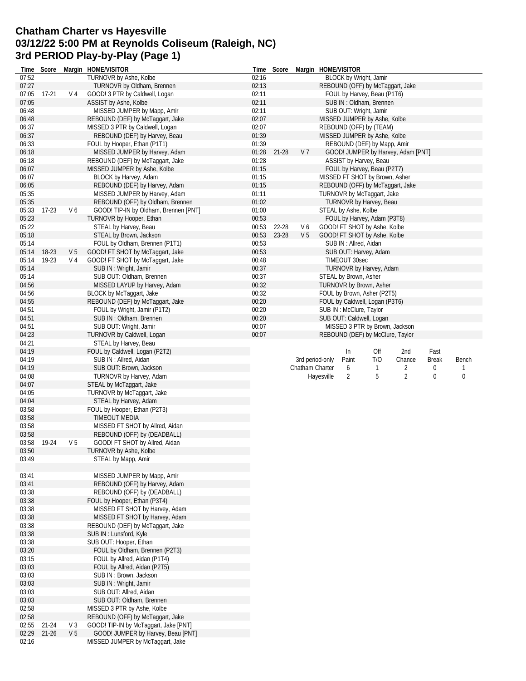### **Chatham Charter vs Hayesville 03/12/22 5:00 PM at Reynolds Coliseum (Raleigh, NC) 3rd PERIOD Play-by-Play (Page 1)**

| Time           |           |                | Score Margin HOME/VISITOR                                        | Time  | Score |                 |            | Margin HOME/VISITOR      |                                  |                                    |              |                  |
|----------------|-----------|----------------|------------------------------------------------------------------|-------|-------|-----------------|------------|--------------------------|----------------------------------|------------------------------------|--------------|------------------|
| 07:52          |           |                | TURNOVR by Ashe, Kolbe                                           | 02:16 |       |                 |            | BLOCK by Wright, Jamir   |                                  |                                    |              |                  |
| 07:27          |           |                | TURNOVR by Oldham, Brennen                                       | 02:13 |       |                 |            |                          |                                  | REBOUND (OFF) by McTaggart, Jake   |              |                  |
| 07:05          | $17-21$   | V 4            | GOOD! 3 PTR by Caldwell, Logan                                   | 02:11 |       |                 |            |                          | FOUL by Harvey, Beau (P1T6)      |                                    |              |                  |
| 07:05          |           |                | ASSIST by Ashe, Kolbe                                            | 02:11 |       |                 |            |                          | SUB IN: Oldham, Brennen          |                                    |              |                  |
| 06:48          |           |                | MISSED JUMPER by Mapp, Amir                                      | 02:11 |       |                 |            | SUB OUT: Wright, Jamir   |                                  |                                    |              |                  |
| 06:48          |           |                | REBOUND (DEF) by McTaggart, Jake                                 | 02:07 |       |                 |            |                          | MISSED JUMPER by Ashe, Kolbe     |                                    |              |                  |
| 06:37          |           |                | MISSED 3 PTR by Caldwell, Logan                                  | 02:07 |       |                 |            |                          | REBOUND (OFF) by (TEAM)          |                                    |              |                  |
| 06:37          |           |                | REBOUND (DEF) by Harvey, Beau                                    | 01:39 |       |                 |            |                          | MISSED JUMPER by Ashe, Kolbe     |                                    |              |                  |
| 06:33          |           |                | FOUL by Hooper, Ethan (P1T1)                                     | 01:39 |       |                 |            |                          | REBOUND (DEF) by Mapp, Amir      |                                    |              |                  |
| 06:18          |           |                | MISSED JUMPER by Harvey, Adam                                    | 01:28 | 21-28 | V 7             |            |                          |                                  | GOOD! JUMPER by Harvey, Adam [PNT] |              |                  |
| 06:18          |           |                | REBOUND (DEF) by McTaggart, Jake                                 | 01:28 |       |                 |            |                          | ASSIST by Harvey, Beau           |                                    |              |                  |
| 06:07          |           |                | MISSED JUMPER by Ashe, Kolbe                                     | 01:15 |       |                 |            |                          | FOUL by Harvey, Beau (P2T7)      |                                    |              |                  |
| 06:07          |           |                | BLOCK by Harvey, Adam                                            | 01:15 |       |                 |            |                          | MISSED FT SHOT by Brown, Asher   |                                    |              |                  |
| 06:05          |           |                | REBOUND (DEF) by Harvey, Adam                                    | 01:15 |       |                 |            |                          |                                  | REBOUND (OFF) by McTaggart, Jake   |              |                  |
| 05:35          |           |                | MISSED JUMPER by Harvey, Adam                                    | 01:11 |       |                 |            |                          | TURNOVR by McTaggart, Jake       |                                    |              |                  |
| 05:35          |           |                | REBOUND (OFF) by Oldham, Brennen                                 | 01:02 |       |                 |            |                          | TURNOVR by Harvey, Beau          |                                    |              |                  |
| 05:33          | $17-23$   | V6             | GOOD! TIP-IN by Oldham, Brennen [PNT]                            | 01:00 |       |                 |            | STEAL by Ashe, Kolbe     |                                  |                                    |              |                  |
| 05:23          |           |                | TURNOVR by Hooper, Ethan                                         | 00:53 |       |                 |            |                          | FOUL by Harvey, Adam (P3T8)      |                                    |              |                  |
| 05:22          |           |                | STEAL by Harvey, Beau                                            | 00:53 | 22-28 | V6              |            |                          | GOOD! FT SHOT by Ashe, Kolbe     |                                    |              |                  |
| 05:18          |           |                | STEAL by Brown, Jackson                                          | 00:53 | 23-28 | V <sub>5</sub>  |            |                          | GOOD! FT SHOT by Ashe, Kolbe     |                                    |              |                  |
| 05:14          |           |                | FOUL by Oldham, Brennen (P1T1)                                   | 00:53 |       |                 |            | SUB IN: Allred, Aidan    |                                  |                                    |              |                  |
| 05:14          | $18-23$   | V 5            | GOOD! FT SHOT by McTaggart, Jake                                 | 00:53 |       |                 |            |                          | SUB OUT: Harvey, Adam            |                                    |              |                  |
| 05:14          | 19-23     | V 4            | GOOD! FT SHOT by McTaggart, Jake                                 | 00:48 |       |                 |            | TIMEOUT 30sec            |                                  |                                    |              |                  |
| 05:14          |           |                | SUB IN: Wright, Jamir                                            | 00:37 |       |                 |            |                          | TURNOVR by Harvey, Adam          |                                    |              |                  |
| 05:14          |           |                | SUB OUT: Oldham, Brennen                                         | 00:37 |       |                 |            | STEAL by Brown, Asher    |                                  |                                    |              |                  |
| 04:56          |           |                | MISSED LAYUP by Harvey, Adam                                     | 00:32 |       |                 |            |                          | TURNOVR by Brown, Asher          |                                    |              |                  |
| 04:56          |           |                | BLOCK by McTaggart, Jake                                         | 00:32 |       |                 |            |                          | FOUL by Brown, Asher (P2T5)      |                                    |              |                  |
| 04:55          |           |                | REBOUND (DEF) by McTaggart, Jake                                 | 00:20 |       |                 |            |                          | FOUL by Caldwell, Logan (P3T6)   |                                    |              |                  |
| 04:51          |           |                | FOUL by Wright, Jamir (P1T2)                                     | 00:20 |       |                 |            | SUB IN : McClure, Taylor |                                  |                                    |              |                  |
| 04:51          |           |                | SUB IN: Oldham, Brennen                                          | 00:20 |       |                 |            |                          | SUB OUT: Caldwell, Logan         |                                    |              |                  |
| 04:51          |           |                | SUB OUT: Wright, Jamir                                           | 00:07 |       |                 |            |                          | MISSED 3 PTR by Brown, Jackson   |                                    |              |                  |
| 04:23          |           |                | TURNOVR by Caldwell, Logan                                       | 00:07 |       |                 |            |                          | REBOUND (DEF) by McClure, Taylor |                                    |              |                  |
| 04:21          |           |                | STEAL by Harvey, Beau                                            |       |       |                 |            |                          |                                  |                                    |              |                  |
| 04:19          |           |                | FOUL by Caldwell, Logan (P2T2)                                   |       |       |                 |            | In                       | Off                              | 2nd                                | Fast         |                  |
|                |           |                |                                                                  |       |       |                 |            |                          |                                  |                                    |              |                  |
| 04:19          |           |                | SUB IN: Allred, Aidan                                            |       |       | 3rd period-only |            | Paint                    | T/O                              | Chance                             | <b>Break</b> | Bench            |
| 04:19          |           |                | SUB OUT: Brown, Jackson                                          |       |       | Chatham Charter |            | 6                        | $\mathbf{1}$                     | 2                                  | 0            |                  |
| 04:08          |           |                | TURNOVR by Harvey, Adam                                          |       |       |                 | Hayesville | 2                        | 5                                | $\overline{2}$                     | 0            | $\boldsymbol{0}$ |
| 04:07          |           |                | STEAL by McTaggart, Jake                                         |       |       |                 |            |                          |                                  |                                    |              |                  |
| 04:05          |           |                | TURNOVR by McTaggart, Jake                                       |       |       |                 |            |                          |                                  |                                    |              |                  |
| 04:04          |           |                | STEAL by Harvey, Adam                                            |       |       |                 |            |                          |                                  |                                    |              |                  |
| 03:58          |           |                | FOUL by Hooper, Ethan (P2T3)                                     |       |       |                 |            |                          |                                  |                                    |              |                  |
| 03:58          |           |                | TIMEOUT MEDIA                                                    |       |       |                 |            |                          |                                  |                                    |              |                  |
| 03:58          |           |                | MISSED FT SHOT by Allred, Aidan                                  |       |       |                 |            |                          |                                  |                                    |              |                  |
|                |           |                |                                                                  |       |       |                 |            |                          |                                  |                                    |              |                  |
| 03:58<br>03:58 | 19-24     | V <sub>5</sub> | REBOUND (OFF) by (DEADBALL)<br>GOOD! FT SHOT by Allred, Aidan    |       |       |                 |            |                          |                                  |                                    |              |                  |
| 03:50          |           |                |                                                                  |       |       |                 |            |                          |                                  |                                    |              |                  |
| 03:49          |           |                | TURNOVR by Ashe, Kolbe                                           |       |       |                 |            |                          |                                  |                                    |              |                  |
|                |           |                | STEAL by Mapp, Amir                                              |       |       |                 |            |                          |                                  |                                    |              |                  |
| 03:41          |           |                |                                                                  |       |       |                 |            |                          |                                  |                                    |              |                  |
| 03:41          |           |                | MISSED JUMPER by Mapp, Amir<br>REBOUND (OFF) by Harvey, Adam     |       |       |                 |            |                          |                                  |                                    |              |                  |
|                |           |                |                                                                  |       |       |                 |            |                          |                                  |                                    |              |                  |
| 03:38          |           |                | REBOUND (OFF) by (DEADBALL)<br>FOUL by Hooper, Ethan (P3T4)      |       |       |                 |            |                          |                                  |                                    |              |                  |
| 03:38<br>03:38 |           |                |                                                                  |       |       |                 |            |                          |                                  |                                    |              |                  |
|                |           |                | MISSED FT SHOT by Harvey, Adam<br>MISSED FT SHOT by Harvey, Adam |       |       |                 |            |                          |                                  |                                    |              |                  |
| 03:38          |           |                | REBOUND (DEF) by McTaggart, Jake                                 |       |       |                 |            |                          |                                  |                                    |              |                  |
| 03:38          |           |                |                                                                  |       |       |                 |            |                          |                                  |                                    |              |                  |
| 03:38          |           |                | SUB IN: Lunsford, Kyle<br>SUB OUT: Hooper, Ethan                 |       |       |                 |            |                          |                                  |                                    |              |                  |
| 03:38<br>03:20 |           |                | FOUL by Oldham, Brennen (P2T3)                                   |       |       |                 |            |                          |                                  |                                    |              |                  |
| 03:15          |           |                | FOUL by Allred, Aidan (P1T4)                                     |       |       |                 |            |                          |                                  |                                    |              |                  |
| 03:03          |           |                | FOUL by Allred, Aidan (P2T5)                                     |       |       |                 |            |                          |                                  |                                    |              |                  |
| 03:03          |           |                | SUB IN: Brown, Jackson                                           |       |       |                 |            |                          |                                  |                                    |              |                  |
|                |           |                |                                                                  |       |       |                 |            |                          |                                  |                                    |              |                  |
| 03:03<br>03:03 |           |                | SUB IN: Wright, Jamir<br>SUB OUT: Allred, Aidan                  |       |       |                 |            |                          |                                  |                                    |              |                  |
| 03:03          |           |                | SUB OUT: Oldham, Brennen                                         |       |       |                 |            |                          |                                  |                                    |              |                  |
| 02:58          |           |                |                                                                  |       |       |                 |            |                          |                                  |                                    |              |                  |
| 02:58          |           |                | MISSED 3 PTR by Ashe, Kolbe<br>REBOUND (OFF) by McTaggart, Jake  |       |       |                 |            |                          |                                  |                                    |              |                  |
| 02:55          | $21 - 24$ | V3             | GOOD! TIP-IN by McTaggart, Jake [PNT]                            |       |       |                 |            |                          |                                  |                                    |              |                  |
| 02:29          | $21 - 26$ | V <sub>5</sub> | GOOD! JUMPER by Harvey, Beau [PNT]                               |       |       |                 |            |                          |                                  |                                    |              |                  |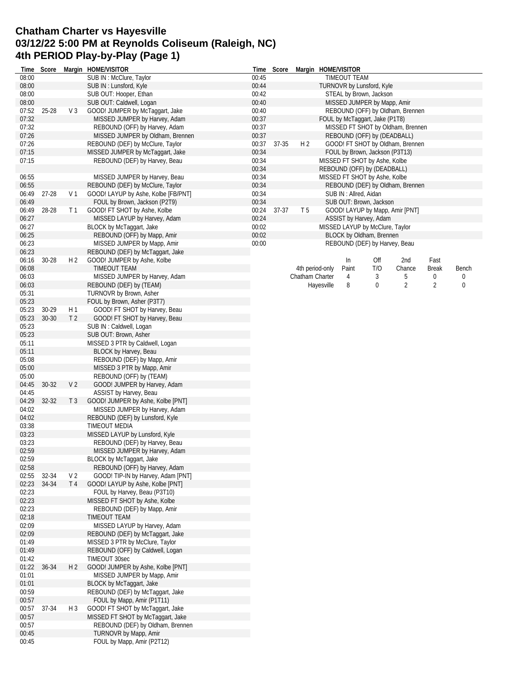# **Chatham Charter vs Hayesville 03/12/22 5:00 PM at Reynolds Coliseum (Raleigh, NC) 4th PERIOD Play-by-Play (Page 1)**

|                |           |                | Time Score Margin HOME/VISITOR                                   | Time  |       | Score Margin HOME/VISITOR |                                   |                                 |     |                                  |                |       |  |  |
|----------------|-----------|----------------|------------------------------------------------------------------|-------|-------|---------------------------|-----------------------------------|---------------------------------|-----|----------------------------------|----------------|-------|--|--|
| 08:00          |           |                | SUB IN : McClure, Taylor                                         | 00:45 |       |                           |                                   | TIMEOUT TEAM                    |     |                                  |                |       |  |  |
| 08:00          |           |                | SUB IN: Lunsford, Kyle                                           | 00:44 |       |                           |                                   | TURNOVR by Lunsford, Kyle       |     |                                  |                |       |  |  |
| 08:00          |           |                | SUB OUT: Hooper, Ethan                                           | 00:42 |       |                           |                                   | STEAL by Brown, Jackson         |     |                                  |                |       |  |  |
| 08:00          |           |                | SUB OUT: Caldwell, Logan                                         | 00:40 |       |                           |                                   | MISSED JUMPER by Mapp, Amir     |     |                                  |                |       |  |  |
| 07:52          | 25-28     | V <sub>3</sub> | GOOD! JUMPER by McTaggart, Jake                                  | 00:40 |       |                           |                                   |                                 |     | REBOUND (OFF) by Oldham, Brennen |                |       |  |  |
| 07:32          |           |                | MISSED JUMPER by Harvey, Adam                                    | 00:37 |       |                           | FOUL by McTaggart, Jake (P1T8)    |                                 |     |                                  |                |       |  |  |
| 07:32          |           |                | REBOUND (OFF) by Harvey, Adam                                    | 00:37 |       |                           | MISSED FT SHOT by Oldham, Brennen |                                 |     |                                  |                |       |  |  |
| 07:26          |           |                | MISSED JUMPER by Oldham, Brennen                                 | 00:37 |       |                           | REBOUND (OFF) by (DEADBALL)       |                                 |     |                                  |                |       |  |  |
| 07:26          |           |                | REBOUND (DEF) by McClure, Taylor                                 | 00:37 | 37-35 | H <sub>2</sub>            | GOOD! FT SHOT by Oldham, Brennen  |                                 |     |                                  |                |       |  |  |
| 07:15          |           |                | MISSED JUMPER by McTaggart, Jake                                 | 00:34 |       |                           |                                   | FOUL by Brown, Jackson (P3T13)  |     |                                  |                |       |  |  |
| 07:15          |           |                | REBOUND (DEF) by Harvey, Beau                                    | 00:34 |       |                           |                                   | MISSED FT SHOT by Ashe, Kolbe   |     |                                  |                |       |  |  |
|                |           |                |                                                                  | 00:34 |       |                           |                                   | REBOUND (OFF) by (DEADBALL)     |     |                                  |                |       |  |  |
| 06:55          |           |                | MISSED JUMPER by Harvey, Beau                                    | 00:34 |       |                           |                                   | MISSED FT SHOT by Ashe, Kolbe   |     |                                  |                |       |  |  |
| 06:55          |           |                | REBOUND (DEF) by McClure, Taylor                                 | 00:34 |       |                           |                                   |                                 |     | REBOUND (DEF) by Oldham, Brennen |                |       |  |  |
| 06:49          | 27-28     | V <sub>1</sub> | GOOD! LAYUP by Ashe, Kolbe [FB/PNT]                              | 00:34 |       |                           |                                   | SUB IN: Allred, Aidan           |     |                                  |                |       |  |  |
| 06:49          |           |                | FOUL by Brown, Jackson (P2T9)                                    | 00:34 |       |                           |                                   | SUB OUT: Brown, Jackson         |     |                                  |                |       |  |  |
| 06:49          | 28-28     | T <sub>1</sub> | GOOD! FT SHOT by Ashe, Kolbe                                     | 00:24 | 37-37 | T <sub>5</sub>            |                                   |                                 |     | GOOD! LAYUP by Mapp, Amir [PNT]  |                |       |  |  |
| 06:27          |           |                | MISSED LAYUP by Harvey, Adam                                     | 00:24 |       |                           |                                   | ASSIST by Harvey, Adam          |     |                                  |                |       |  |  |
| 06:27          |           |                | BLOCK by McTaggart, Jake                                         | 00:02 |       |                           |                                   | MISSED LAYUP by McClure, Taylor |     |                                  |                |       |  |  |
| 06:25          |           |                | REBOUND (OFF) by Mapp, Amir                                      | 00:02 |       |                           |                                   | BLOCK by Oldham, Brennen        |     |                                  |                |       |  |  |
| 06:23          |           |                | MISSED JUMPER by Mapp, Amir                                      | 00:00 |       |                           |                                   | REBOUND (DEF) by Harvey, Beau   |     |                                  |                |       |  |  |
| 06:23          |           |                | REBOUND (DEF) by McTaggart, Jake                                 |       |       |                           |                                   |                                 |     |                                  |                |       |  |  |
| 06:16          | $30 - 28$ | H <sub>2</sub> | GOOD! JUMPER by Ashe, Kolbe                                      |       |       |                           |                                   | In                              | Off | 2nd                              | Fast           |       |  |  |
| 06:08          |           |                | TIMEOUT TEAM                                                     |       |       | 4th period-only           |                                   | Paint                           | T/O | Chance                           | Break          | Bench |  |  |
| 06:03          |           |                | MISSED JUMPER by Harvey, Adam                                    |       |       | Chatham Charter           |                                   | 4                               | 3   | 5                                | 0              | 0     |  |  |
| 06:03          |           |                | REBOUND (DEF) by (TEAM)                                          |       |       |                           | Hayesville                        | 8                               | 0   | $\overline{2}$                   | $\overline{2}$ | 0     |  |  |
| 05:31          |           |                | TURNOVR by Brown, Asher                                          |       |       |                           |                                   |                                 |     |                                  |                |       |  |  |
| 05:23          |           |                | FOUL by Brown, Asher (P3T7)                                      |       |       |                           |                                   |                                 |     |                                  |                |       |  |  |
| 05:23          | 30-29     | H <sub>1</sub> | GOOD! FT SHOT by Harvey, Beau                                    |       |       |                           |                                   |                                 |     |                                  |                |       |  |  |
| 05:23          | $30 - 30$ | T <sub>2</sub> | GOOD! FT SHOT by Harvey, Beau                                    |       |       |                           |                                   |                                 |     |                                  |                |       |  |  |
| 05:23          |           |                | SUB IN: Caldwell, Logan                                          |       |       |                           |                                   |                                 |     |                                  |                |       |  |  |
| 05:23          |           |                | SUB OUT: Brown, Asher                                            |       |       |                           |                                   |                                 |     |                                  |                |       |  |  |
| 05:11          |           |                | MISSED 3 PTR by Caldwell, Logan                                  |       |       |                           |                                   |                                 |     |                                  |                |       |  |  |
| 05:11          |           |                | BLOCK by Harvey, Beau                                            |       |       |                           |                                   |                                 |     |                                  |                |       |  |  |
| 05:08          |           |                | REBOUND (DEF) by Mapp, Amir                                      |       |       |                           |                                   |                                 |     |                                  |                |       |  |  |
| 05:00          |           |                | MISSED 3 PTR by Mapp, Amir                                       |       |       |                           |                                   |                                 |     |                                  |                |       |  |  |
| 05:00          |           |                | REBOUND (OFF) by (TEAM)                                          |       |       |                           |                                   |                                 |     |                                  |                |       |  |  |
| 04:45          | 30-32     | V <sub>2</sub> | GOOD! JUMPER by Harvey, Adam                                     |       |       |                           |                                   |                                 |     |                                  |                |       |  |  |
| 04:45          |           |                | ASSIST by Harvey, Beau                                           |       |       |                           |                                   |                                 |     |                                  |                |       |  |  |
| 04:29          | $32 - 32$ | T <sub>3</sub> | GOOD! JUMPER by Ashe, Kolbe [PNT]                                |       |       |                           |                                   |                                 |     |                                  |                |       |  |  |
| 04:02          |           |                | MISSED JUMPER by Harvey, Adam                                    |       |       |                           |                                   |                                 |     |                                  |                |       |  |  |
| 04:02          |           |                | REBOUND (DEF) by Lunsford, Kyle                                  |       |       |                           |                                   |                                 |     |                                  |                |       |  |  |
| 03:38          |           |                | <b>TIMEOUT MEDIA</b>                                             |       |       |                           |                                   |                                 |     |                                  |                |       |  |  |
| 03:23          |           |                | MISSED LAYUP by Lunsford, Kyle                                   |       |       |                           |                                   |                                 |     |                                  |                |       |  |  |
| 03:23          |           |                | REBOUND (DEF) by Harvey, Beau                                    |       |       |                           |                                   |                                 |     |                                  |                |       |  |  |
| 02:59          |           |                | MISSED JUMPER by Harvey, Adam                                    |       |       |                           |                                   |                                 |     |                                  |                |       |  |  |
| 02:59          |           |                | BLOCK by McTaggart, Jake                                         |       |       |                           |                                   |                                 |     |                                  |                |       |  |  |
| 02:58          |           |                | REBOUND (OFF) by Harvey, Adam                                    |       |       |                           |                                   |                                 |     |                                  |                |       |  |  |
| 02:55          | 32-34     | V <sub>2</sub> | GOOD! TIP-IN by Harvey, Adam [PNT]                               |       |       |                           |                                   |                                 |     |                                  |                |       |  |  |
| 02:23          | 34-34     | T <sub>4</sub> | GOOD! LAYUP by Ashe, Kolbe [PNT]                                 |       |       |                           |                                   |                                 |     |                                  |                |       |  |  |
| 02:23          |           |                | FOUL by Harvey, Beau (P3T10)                                     |       |       |                           |                                   |                                 |     |                                  |                |       |  |  |
| 02:23          |           |                | MISSED FT SHOT by Ashe, Kolbe                                    |       |       |                           |                                   |                                 |     |                                  |                |       |  |  |
| 02:23          |           |                | REBOUND (DEF) by Mapp, Amir                                      |       |       |                           |                                   |                                 |     |                                  |                |       |  |  |
| 02:18          |           |                | TIMEOUT TEAM                                                     |       |       |                           |                                   |                                 |     |                                  |                |       |  |  |
| 02:09<br>02:09 |           |                | MISSED LAYUP by Harvey, Adam<br>REBOUND (DEF) by McTaggart, Jake |       |       |                           |                                   |                                 |     |                                  |                |       |  |  |
| 01:49          |           |                | MISSED 3 PTR by McClure, Taylor                                  |       |       |                           |                                   |                                 |     |                                  |                |       |  |  |
|                |           |                |                                                                  |       |       |                           |                                   |                                 |     |                                  |                |       |  |  |
| 01:49<br>01:42 |           |                | REBOUND (OFF) by Caldwell, Logan<br>TIMEOUT 30sec                |       |       |                           |                                   |                                 |     |                                  |                |       |  |  |
|                | 36-34     | H <sub>2</sub> | GOOD! JUMPER by Ashe, Kolbe [PNT]                                |       |       |                           |                                   |                                 |     |                                  |                |       |  |  |
| 01:22<br>01:01 |           |                | MISSED JUMPER by Mapp, Amir                                      |       |       |                           |                                   |                                 |     |                                  |                |       |  |  |
| 01:01          |           |                | BLOCK by McTaggart, Jake                                         |       |       |                           |                                   |                                 |     |                                  |                |       |  |  |
| 00:59          |           |                | REBOUND (DEF) by McTaggart, Jake                                 |       |       |                           |                                   |                                 |     |                                  |                |       |  |  |
| 00:57          |           |                | FOUL by Mapp, Amir (P1T11)                                       |       |       |                           |                                   |                                 |     |                                  |                |       |  |  |
|                | 37-34     | $H_3$          | GOOD! FT SHOT by McTaggart, Jake                                 |       |       |                           |                                   |                                 |     |                                  |                |       |  |  |
| 00:57<br>00:57 |           |                | MISSED FT SHOT by McTaggart, Jake                                |       |       |                           |                                   |                                 |     |                                  |                |       |  |  |
| 00:57          |           |                | REBOUND (DEF) by Oldham, Brennen                                 |       |       |                           |                                   |                                 |     |                                  |                |       |  |  |
| 00:45          |           |                | TURNOVR by Mapp, Amir                                            |       |       |                           |                                   |                                 |     |                                  |                |       |  |  |
| 00:45          |           |                | FOUL by Mapp, Amir (P2T12)                                       |       |       |                           |                                   |                                 |     |                                  |                |       |  |  |
|                |           |                |                                                                  |       |       |                           |                                   |                                 |     |                                  |                |       |  |  |